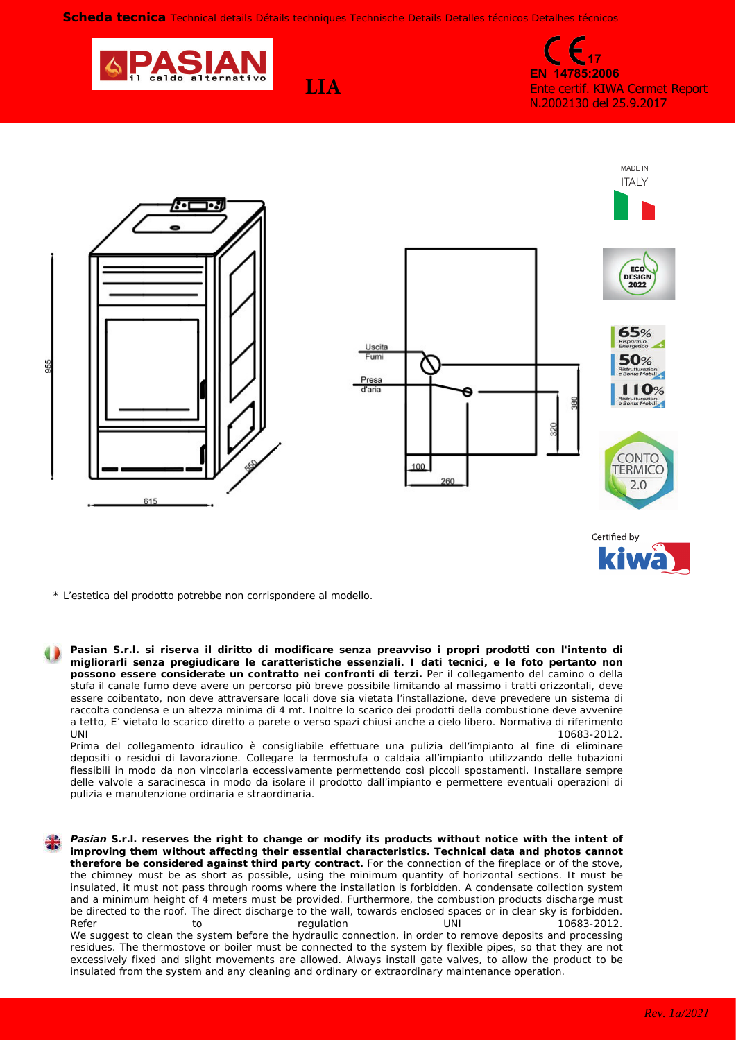**Scheda tecnica** *Technical details Détails techniques Technische Details Detalles técnicos Detalhes técnicos*

**LIA**



**17 EN 14785:2006** Ente certif. KIWA Cermet Report N.2002130 del 25.9.2017





*\* L'estetica del prodotto potrebbe non corrispondere al modello.*

**Pasian S.r.l. si riserva il diritto di modificare senza preavviso i propri prodotti con l'intento di migliorarli senza pregiudicare le caratteristiche essenziali. I dati tecnici, e le foto pertanto non possono essere considerate un contratto nei confronti di terzi.** Per il collegamento del camino o della stufa il canale fumo deve avere un percorso più breve possibile limitando al massimo i tratti orizzontali, deve essere coibentato, non deve attraversare locali dove sia vietata l'installazione, deve prevedere un sistema di raccolta condensa e un altezza minima di 4 mt. Inoltre lo scarico dei prodotti della combustione deve avvenire a tetto, E' vietato lo scarico diretto a parete o verso spazi chiusi anche a cielo libero. Normativa di riferimento  $UNI$  10683-2012.

Prima del collegamento idraulico è consigliabile effettuare una pulizia dell'impianto al fine di eliminare depositi o residui di lavorazione. Collegare la termostufa o caldaia all'impianto utilizzando delle tubazioni flessibili in modo da non vincolarla eccessivamente permettendo così piccoli spostamenti. Installare sempre delle valvole a saracinesca in modo da isolare il prodotto dall'impianto e permettere eventuali operazioni di pulizia e manutenzione ordinaria e straordinaria.

*Pasian S.r.l. reserves the right to change or modify its products without notice with the intent of improving them without affecting their essential characteristics. Technical data and photos cannot therefore be considered against third party contract. For the connection of the fireplace or of the stove, the chimney must be as short as possible, using the minimum quantity of horizontal sections. It must be insulated, it must not pass through rooms where the installation is forbidden. A condensate collection system and a minimum height of 4 meters must be provided. Furthermore, the combustion products discharge must be directed to the roof. The direct discharge to the wall, towards enclosed spaces or in clear sky is forbidden. Refer to regulation UNI 10683-2012. We suggest to clean the system before the hydraulic connection, in order to remove deposits and processing residues. The thermostove or boiler must be connected to the system by flexible pipes, so that they are not excessively fixed and slight movements are allowed. Always install gate valves, to allow the product to be insulated from the system and any cleaning and ordinary or extraordinary maintenance operation.*